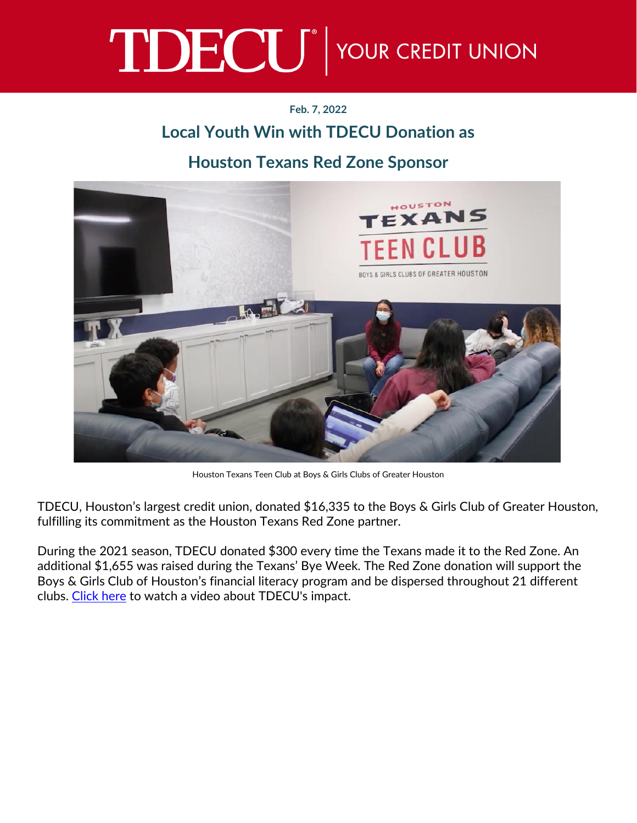## TDECU<sup>®</sup> YOUR CREDIT UNION

## **Feb. 7, 2022**

## **Local Youth Win with TDECU Donation as**

## **Houston Texans Red Zone Sponsor**



Houston Texans Teen Club at Boys & Girls Clubs of Greater Houston

TDECU, Houston's largest credit union, donated \$16,335 to the Boys & Girls Club of Greater Houston, fulfilling its commitment as the Houston Texans Red Zone partner.

During the 2021 season, TDECU donated \$300 every time the Texans made it to the Red Zone. An additional \$1,655 was raised during the Texans' Bye Week. The Red Zone donation will support the Boys & Girls Club of Houston's financial literacy program and be dispersed throughout 21 different clubs. [Click here](https://www.youtube.com/watch?v=FAgJ0wm9yiA) to watch a video about TDECU's impact.